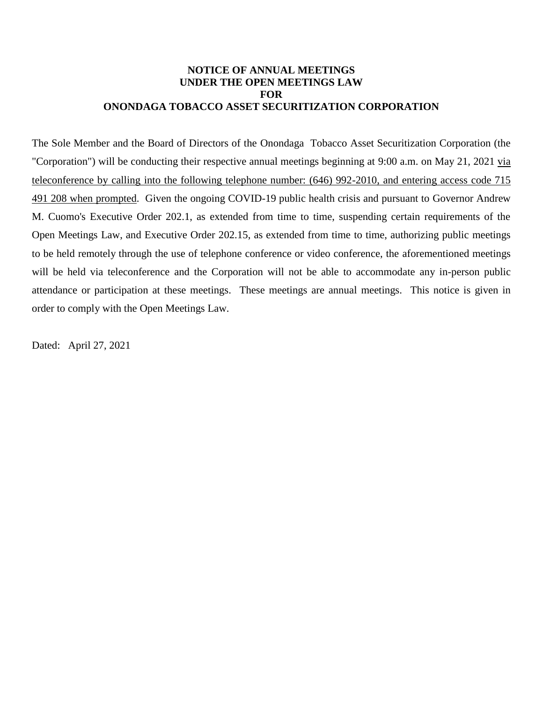#### **NOTICE OF ANNUAL MEETINGS UNDER THE OPEN MEETINGS LAW FOR ONONDAGA TOBACCO ASSET SECURITIZATION CORPORATION**

The Sole Member and the Board of Directors of the Onondaga Tobacco Asset Securitization Corporation (the "Corporation") will be conducting their respective annual meetings beginning at 9:00 a.m. on May 21, 2021 via teleconference by calling into the following telephone number: (646) 992-2010, and entering access code 715 491 208 when prompted. Given the ongoing COVID-19 public health crisis and pursuant to Governor Andrew M. Cuomo's Executive Order 202.1, as extended from time to time, suspending certain requirements of the Open Meetings Law, and Executive Order 202.15, as extended from time to time, authorizing public meetings to be held remotely through the use of telephone conference or video conference, the aforementioned meetings will be held via teleconference and the Corporation will not be able to accommodate any in-person public attendance or participation at these meetings. These meetings are annual meetings. This notice is given in order to comply with the Open Meetings Law.

Dated: April 27, 2021